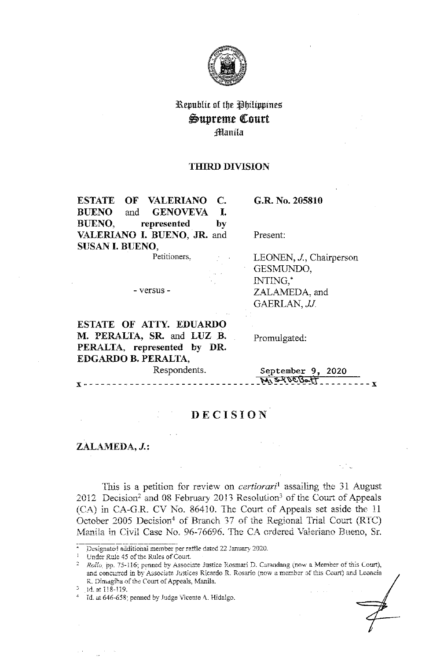

# Kepublic of the Philippines Supreme Court :*filanila*

### **THIRD DIVISION**

**ESTATE OF VALERIANO C. BlJENO**  and **GENOVEVA** I. **BUENO, represented by VALERIANO** I. **BUENO, JR.** and **SUSAN** I. **BUENO,**  Petitioners,

**G.R. No. 205810** 

Present:

LEONEN, *J,* Chairperson GESMUNDO, INTING,\* ZALAMEDA, and GAERLAN, *JJ*.

**ESTATE OF ATTY. EDUARDO M. PERALTA, SR.** and **LUZ .B. PERALTA, represented by DR. EDGARDO B. PERALTA,** 

- versus -

Promulgated:

Respondents. **September 9, 2020 M S-100 Bott \_\_\_\_\_\_\_\_\_\_\_\_** 

## **DECISION**

## ZALAMEDA, J.:

Tnis is a petition for review on *certiorari*<sup>1</sup>assailing the 31 August 2012 Decision<sup>2</sup> and 08 February 2013 Resolution<sup>3</sup> of the Court of Appeals (CA) in CA-G.R. CV No. 86410. The Court of Appeals set aside the 11 October 2005 Decision<sup>4</sup> of Branch 37 of the Regional Trial Court (RTC) Manila in Civil Case No. 96-76696. The CA ordered Valeriano Bueno, Sr.

Designated additional member per raffle dated 22 January 2020.

<sup>&</sup>lt;sup>1</sup> Under Rule 45 of the Rules of Court.

<sup>&</sup>lt;sup>2</sup> *Rolla*, pp. 75-116; penned by Associate Justice Rosmari D. Carandang (now a Member of this Court), and concurred in by Associate Justices Ricardo R. Rosario (now a member of this Court) and Leoncia R. Dimagiba of the Court of Appeals, Manila.

 $3$  1d. at 118-119.

<sup>-1</sup> Id. at 646-658; penned by .fudge Vicente *t\.* Hidalgo.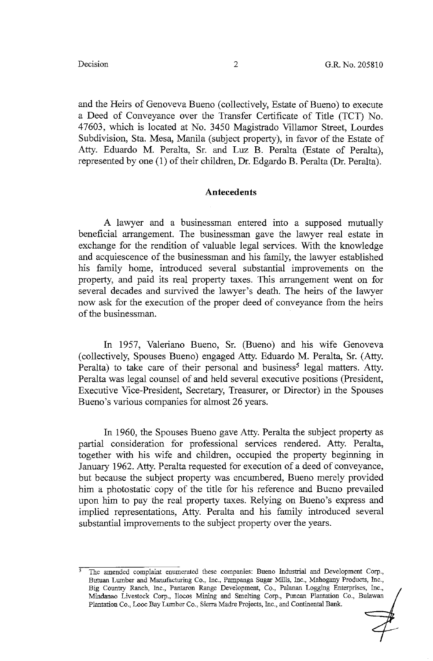and the Heirs of Genoveva Bueno ( collectively, Estate of Bueno) to execute a Deed of Conveyance over the Transfer Certificate of Title (TCT) No. 47603, which is located at No. 3450 Magistrado Villamar Street, Lourdes Subdivision, Sta. Mesa, Manila (subject property), in favor of the Estate of Atty. Eduardo M. Peralta, Sr. and Luz B. Peralta (Estate of Peralta), represented by one (1) of their children, Dr. Edgardo B. Peralta (Dr. Peralta).

### **Antecedents**

A lawyer and a businessman entered into a supposed mutually beneficial arrangement. The businessman gave the lawyer real estate in exchange for the rendition of valuable legal services. With the knowledge and acquiescence of the businessman and his family, the lawyer established his family home, introduced several substantial improvements on the property, and paid its real property taxes. This arrangement went on for several decades and survived the lawyer's death. The heirs of the lawyer now ask for the execution of the proper deed of conveyance from the heirs of the businessman.

In 1957, Valeriano Bueno, Sr. (Bueno) and his wife Genoveva (collectively, Spouses Bueno) engaged Atty. Eduardo M. Peralta, Sr. (Atty. Peralta) to take care of their personal and business<sup>5</sup> legal matters. Atty. Peralta was legal counsel of and held several executive positions (President, Executive Vice-President, Secretary, Treasurer, or Director) in the Spouses Bueno's various companies for almost 26 years.

In 1960, the Spouses Bueno gave Atty. Peralta the subject property as partial consideration for professional services rendered. Atty. Peralta, together with his wife and children, occupied the property beginning in January 1962. Atty. Peralta requested for execution of a deed of conveyance, but because the subject property was encumbered, Bueno merely provided him a photostatic copy of the title for his reference and Bueno prevailed upon him to pay the real property taxes. Relying on Bueno's express and implied representations, Atty. Peralta and his family introduced several substantial improvements to the subject property over the years.

The amended complaint enumerated these companies: Bueno Industrial and Development Corp., Butuan Lumber and Manufacturing Co., Inc., Pampanga Sugar Mills, Inc., Mahogany Products, Inc., Big Country Ranch, Inc., Pantaron Range Development, Co., Palanan Logging Enterprises, Inc., Mindanao Livestock Corp., Ilocos Mining and Smelting Corp., Puncan Plantation Co., Bulawan Plantation Co., Looc Bay Lumber Co., Sierra Madre Projects, Inc., and Continental Bank.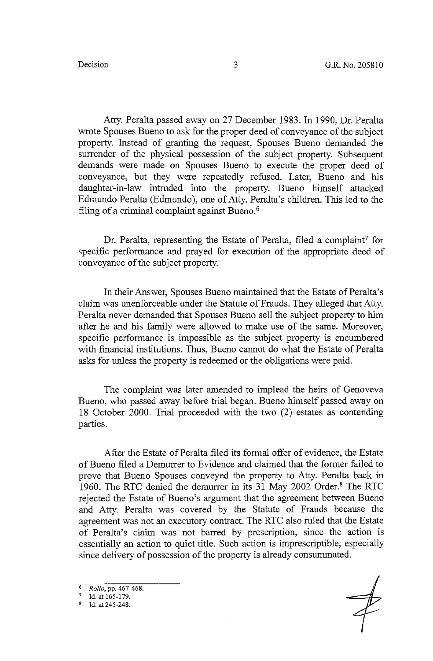Atty. Peralta passed away on 27 December 1983. In 1990, Dr. Peralta wrote Spouses Bueno to ask for the proper deed of conveyance of the subject property. Instead of granting the request, Spouses Bueno demanded the surrender of the physical possession of the subject property. Subsequent demands were made on Spouses Bueno to execute the proper deed of conveyance, but they were repeatedly refused. Later, Bueno and his daughter-in-law intruded into the property. Bueno himself attacked Edmundo Peralta (Edmundo), one of Atty. Peralta's children. This led to the filing of a criminal complaint against Bueno.<sup>6</sup>

Dr. Peralta, representing the Estate of Peralta, filed a complaint<sup>7</sup> for specific performance and prayed for execution of the appropriate deed of conveyance of the subject property.

In their Answer, Spouses Bueno maintained that the Estate of Peralta's claim was unenforceable under the Statute of Frauds. They alleged that Atty. Peralta never demanded that Spouses Bueno sell the subject property to him after he and his family were allowed to make use of the same. Moreover, specific performance is impossible as the subject property is encumbered with financial institutions. Thus, Bueno cannot do what the Estate of Peralta asks for unless the property is redeemed or the obligations were paid.

The complaint was later amended to implead the heirs of Genoveva Bueno, who passed away before trial began. Bueno himself passed away on 18 October 2000. Trial proceeded with the two (2) estates as contending parties.

After the Estate of Peralta filed its formal offer of evidence, the Estate of Bueno filed a Demurrer to Evidence and claimed that the former failed to prove that Bueno Spouses conveyed the property to Atty. Peralta back in 1960. The RTC denied the demurrer in its 31 May 2002 Order.<sup>8</sup> The RTC rejected the Estate of Bueno's argument that the agreement between Bueno and Atty. Peralta was covered by the Statute of Frauds because the agreement was not an executory contract. The RTC also ruled that the Estate of Peralta's claim was not barred by prescription, since the action is essentially an action to quiet title. Such action is imprescriptible, especially since delivery of possession of the property is already consummated.

<sup>6</sup> *Rollo,* pp. 467-468.

Id. at 165-179.

Id. at 245-248.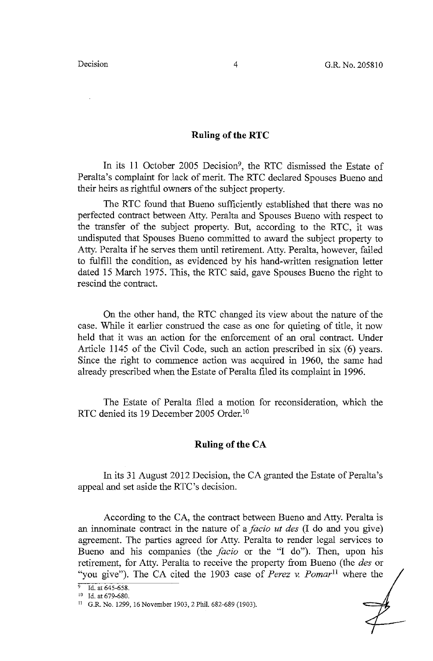### **Ruling of the RTC**

In its 11 October 2005 Decision<sup>9</sup>, the RTC dismissed the Estate of Peralta's complaint for lack of merit. The RTC declared Spouses Bueno and their heirs as rightful owners of the subject property.

The RTC found that Bueno sufficiently established that there was no perfected contract between Atty. Peralta and Spouses Bueno with respect to the transfer of the subject property. But, according to the RTC, it was undisputed that Spouses Bueno committed to award the subject property to Atty. Peralta if he serves them until retirement. Atty. Peralta, however, failed to fulfill the condition, as evidenced by his hand-written resignation letter dated 15 March 1975. This, the RTC said, gave Spouses Bueno the right to rescind the contract.

On the other hand, the RTC changed its view about the nature of the case. While it earlier construed the case as one for quieting of title, it now held that it was an action for the enforcement of an oral contract. Under Article 1145 of the Civil Code, such an action prescribed in six (6) years. Since the right to commence action was acquired in 1960, the same had already prescribed when the Estate of Peralta filed its complaint in 1996.

The Estate of Peralta filed a motion for reconsideration, which the RTC denied its 19 December 2005 Order. <sup>10</sup>

### **Ruling of the CA**

In its 31 August 2012 Decision, the CA granted the Estate of Peralta's appeal and set aside the RTC's decision.

According to the CA, the contract between Bueno and Atty. Peralta is an innominate contract in the nature of a *facio ut des* (I do and you give) agreement. The parties agreed for Atty. Peralta to render legal services to Bueno and his companies (the *facio* or the "I do"). Then, upon his retirement, for Atty. Peralta to receive the property from Bueno (the *des* or "you give"). The CA cited the 1903 case of *Perez v. Pomar*11 where the

 $\overline{9}$  Id. at 645-658.

<sup>&</sup>lt;sup>10</sup> Id. at 679-680.

<sup>11</sup> G.R. No. 1299, 16 November 1903, 2 Phil. 682-689 (1903).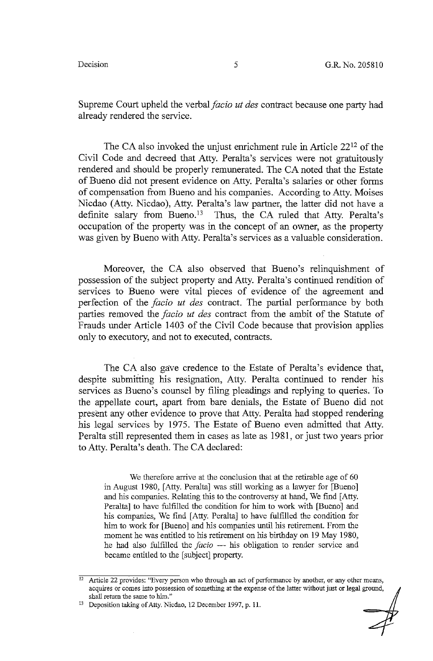Supreme Court upheld the verbal *facio ut des* contract because one party had already rendered the service.

The CA also invoked the unjust enrichment rule in Article 2212 of the Civil Code and decreed that Atty. Peralta's services were not gratuitously rendered and should be properly remunerated. The CA noted that the Estate of Bueno did not present evidence on Atty. Peralta's salaries or other forms of compensation from Bueno and his companies. According to Atty. Moises Nicdao (Atty. Nicdao), Atty. Peralta's law partner, the latter did not have a definite salary from Bueno.<sup>13</sup> Thus, the CA ruled that Atty. Peralta's occupation of the property was in the concept of an owner, as the property was given by Bueno with Atty. Peralta's services as a valuable consideration.

Moreover, the CA also observed that Bueno's relinquishment of possession of the subject property and Atty. Peralta's continued rendition of services to Bueno were vital pieces of evidence of the agreement and perfection of the *facio ut des* contract. The partial performance by both parties removed the *facio ut des* contract from the ambit of the Statute of Frauds under Article 1403 of the Civil Code because that provision applies only to executory, and not to executed, contracts.

The CA also gave credence to the Estate of Peralta's evidence that, despite submitting his resignation, Atty. Peralta continued to render his services as Bueno's counsel by filing pleadings and replying to queries. To the appellate court, apart from bare denials, the Estate of Bueno did not present any other evidence to prove that Atty. Peralta had stopped rendering his legal services by 1975. The Estate of Bueno even admitted that Atty. Peralta still represented them in cases as late as 1981, or just two years prior to Atty. Peralta's death. The CA declared:

We therefore arrive at the conclusion that at the retirable age of 60 in August 1980, [Atty. Peralta] was still working as a lawyer for [Bueno] and his companies. Relating this to the controversy at hand, We find [ Atty. Peralta] to have fulfilled the condition for him to work with [Bueno] and his companies, We find [ Atty. Peralta] to have fulfilled the condition for him to work for [Bueno] and his companies until his retirement. From the moment he was entitled to his retirement on his birthday on 19 May 1980, he had also fulfilled the *facio* - his obligation to render service and became entitled to the [ subject] property.

<sup>&</sup>lt;sup>12</sup> Article 22 provides: "Every person who through an act of performance by another, or any other means, acquires or comes into possession of something at the expense of the latter without just or legal ground,

<sup>&</sup>lt;sup>13</sup> Deposition taking of Atty. Nicdao, 12 December 1997, p. 11.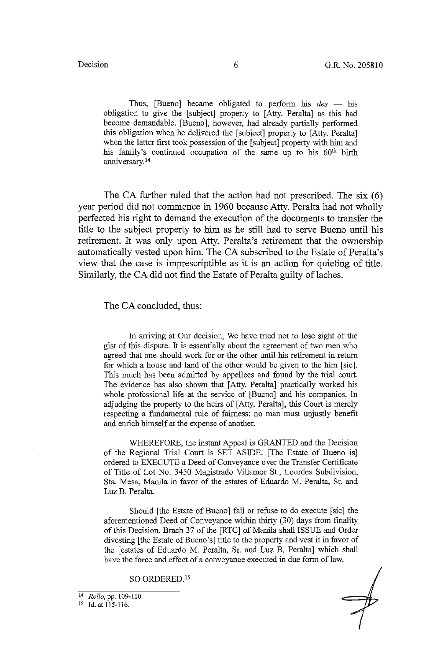Thus, [Bueno] became obligated to perform his *des* - his obligation to give the [subject] property to [Atty. Peralta] as this had become demandable. [Bueno], however, had already partially performed this obligation when he delivered the [subject] property to [Atty. Peralta] when the latter first took possession of the [subject] property with him and his family's continued occupation of the same up to his 60<sup>th</sup> birth anniversary. <sup>14</sup>

The CA further ruled that the action had not prescribed. The six  $(6)$ year period did not commence in 1960 because Atty. Peralta had not wholly perfected his right to demand the execution of the documents to transfer the title to the subject property to him as he still had to serve Bueno until his retirement. It was only upon Atty. Peralta's retirement that the ownership automatically vested upon him. The CA subscribed to the Estate of Peralta's view that the case is imprescriptible as it is an action for quieting of title. Similarly, the CA did not find the Estate of Peralta guilty of laches.

The CA concluded, thus:

In arriving at Our decision, We have tried not to lose sight of the gist of this dispute. It is essentially about the agreement of two men who agreed that one should work for or the other until his retirement in return for which a house and land of the other would be given to the him [sic]. This much has been admitted by appellees and found by the trial court. The evidence has also shown that [ Atty. Peralta] practically worked his whole professional life at the service of [Bueno] and his companies. In adjudging the property to the heirs of [Atty. Peralta], this Court is merely respecting a fundamental rule of fairness: no man must unjustly benefit and enrich himself at the expense of another.

WHEREFORE, the instant Appeal is GRANTED and the Decision of the Regional Trial Court is SET ASIDE. [The Estate of Bueno is] ordered to EXECUTE a Deed of Conveyance over the Transfer Certificate of Title of Lot No. 3450 Magistrado Villamar St., Lourdes Subdivision, Sta. Mesa, Manila in favor of the estates of Eduardo M. Peralta, Sr. and Luz B. Peralta.

Should [the Estate of Bueno] fail or refuse to do execute [sic] the aforementioned Deed of Conveyance within thirty (30) days from finality of this Decision, Brach 37 of the [RTC] of Manila shall ISSUE and Order divesting [the Estate of Bueno's] title to the property and vest it in favor of the [estates of Eduardo M. Peralta, Sr. and Luz B. Peralta] which shall have the force and effect of a conveyance executed in due form of law.

SO ORDERED. <sup>15</sup>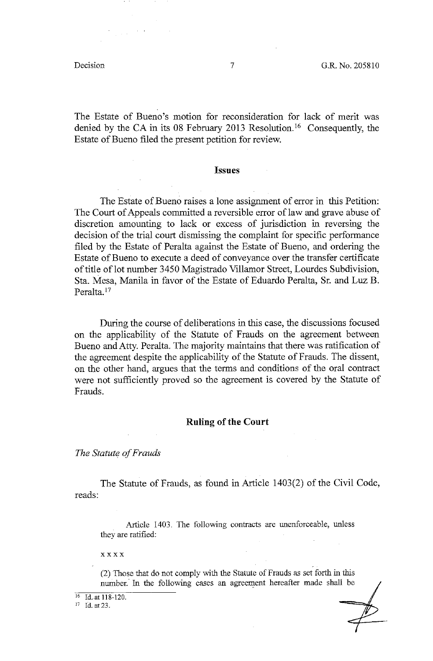The Estate of Bueno's motion for reconsideration for lack of merit was denied by the CA in its 08 February 2013 Resolution. 16 Consequently, the Estate of Bueno filed the present petition for review.

### **Issues**

The Estate of Bueno raises a lone assignment of error in this Petition: The Court of Appeals committed a reversible error of law and grave abuse of discretion amounting to lack or excess of jurisdiction in reversing the decision of the trial court dismissing the complaint for specific performance filed by the Estate of Peralta against the Estate of Bueno, and ordering the Estate of Bueno to execute a deed of conveyance over the transfer certificate of title of lot number 3450 Magistrado Villamor Street, Lourdes Subdivision, Sta. Mesa, Manila in favor of the Estate of Eduardo Peralta, Sr. and Luz B. Peralta.<sup>17</sup>

During the course of deliberations in this case, the discussions focused on the applicability of the Statute of Frauds on the agreement between Bueno and Atty. Peralta. The majority maintains that there was ratification of the agreement despite the applicability of the Statute of Frauds. The dissent, on the other hand, argues that the terms and conditions of the oral contract were not sufficiently proved so the agreement is covered by the Statute of Frauds.

### **Ruling of the Court**

*The Statute of Frauds* 

The Statute of Frauds, as found in Article 1403(2) of the Civil Code, reads:

Article 1403. The following contracts are unenforceable, unless they are ratified:

xxxx

(2) Those that do not comply with the Statute of Frauds as set forth in this number. In the following cases an agreement hereafter made shall be

 $\frac{16}{17}$  Id. at 118-120.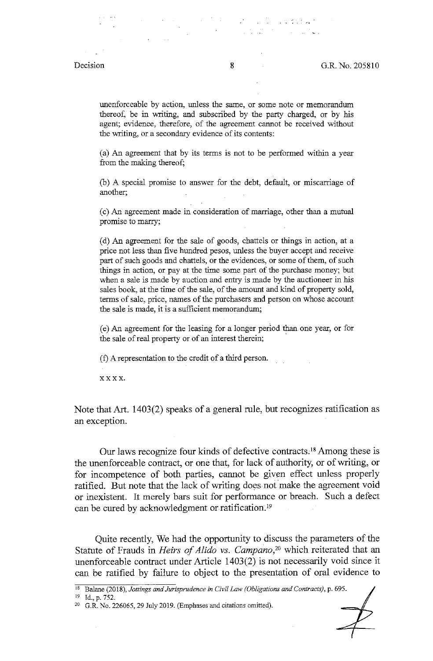unenforceable by action, unless the same, or some note or memorandum thereof, be in writing, and subscribed by the party charged, or by his agent; evidence, therefore, of the agreement cannot be received without the writing, or a secondary evidence of its contents:

(a) An agreement that by its terms is not to be performed within a year from the making thereof;

(b) A special promise to answer for the debt, default, or miscarriage of another;

( c) *A.n* agreement made in consideration of marriage, other than a mutual promise to marry;

( d) An agreement for the sale of goods, chattels or things in action, at a price not less than five hundred pesos, unless the buyer accept and receive part of such goods and chattels, or the evidences, or some of them, of such things in action, or pay at the time some part of the purchase money; but when a sale is made by auction and entry is made by the auctioneer in his sales book, at the time of the sale, of the amount and kind of property sold, terms of sale, price, names of the purchasers and person on whose account the sale is made, it is a sufficient memorandum;

( e) An agreement for the leasing for a longer penod than. one year, or for the sale of real property or of an interest therein;

( f) A representation to the credit of a third person.

xxxx.

Note that Art. 1403(2) speaks of a general rule, but recognizes ratification as an exception.

Our laws recognize four kinds of defective contracts, 18 Among these is the unenforceable contract, or one that, for lack of authority, or of writing, or for incompetence of both parties, cannot be given effect unless properly ratified. But note that the lack of writing does not make the agreement void or inexistent. It merely bars suit for performance or breach. Such a defect can be cured by acknowledgment or ratification. 19

Quite recently, We had the opportunity to discuss the parameters of the Statute of Frauds in *Heirs of Alido vs. Campano*,<sup>20</sup> which reiterated that an unenforceable contract under Article 1403(2) is not necessarily void since it can be ratified by failure to object to the presentation of oral evidence to

18 Balane (2018), *Jottings and Jurisprudence in Civil Law (Obligations and Contracts),* p. 695.

<sup>19</sup> Id., p. 752.

<sup>20</sup> G.R. No. 226065, 29 July 2019. (Emphases and citations omitted).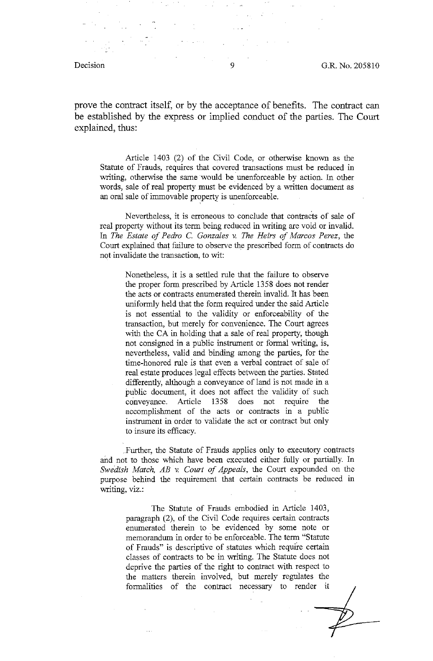Decision 9 G.R. No. 205810

prove the contract itself, or by the acceptance of benefits. The contract can be established by the express or implied conduct of the parties. The Court explained, thus:

Article 1403 (2) of the Civil Code, or otherwise known as the Statute of Frauds, requires that covered transactions must be reduced in writing, otherwise the same would be unenforceable by action. In other words, sale of real property must be evidenced by a written document as an oral sale of immovable property is unenforceable.

Nevertheless, it is erroneous to conclude that contracts of sale of real property without its term being reduced in writing are void or invalid. In *The Estate of Pedro* C. *Gonzales v. The Heirs of Marcos Perez,* the Court explained that failure to observe the prescribed form of contracts do not invalidate the transaction, to wit:

Nonetheless, it is a settled rule that the failure to observe the proper form prescribed by Article 1358 does not render the acts or contracts enumerated therein invalid. It has been uniformly held that the form required under the said Article is not essential to the validity or enforceability of the transaction, but merely for convenience. The Court agrees with the CA in holding that a sale of real property, though not consigned in a public instrument or formal writing, is, nevertheless, valid and binding among the parties, for the time-honored rule is that even a verbal contract of sale of real estate produces legal effects between the parties. Stated differently, although a conveyance of land is not made in a public document, it does not affect the validity of such conveyance. Article 1358 does not require the accomplishment of the acts or contracts in a public instrument in order to validate the act or contract but only to insure its efficacy .

.. Further, the Statute of Frauds applies only to executory contracts and not to those which have been executed either fully or partially. In Swedish Match, AB v. Court of Appeals, the Court expounded on the purpose behind the requirement that certain contracts be reduced in writing, viz.:

> The Statute of Frauds embodied in Article 1403, paragraph (2), of the Civil Code requires certain contracts enumerated therein to be evidenced by some note or memorandum in order t6 be enforceable. The term "Statute of Frauds" is descriptive of statutes which require certain classes of contracts to be in writing. The Statute does not deprive the parties of the right to contract with respect to the matters therein involved, but merely regulates the formalities of the contract necessary to render it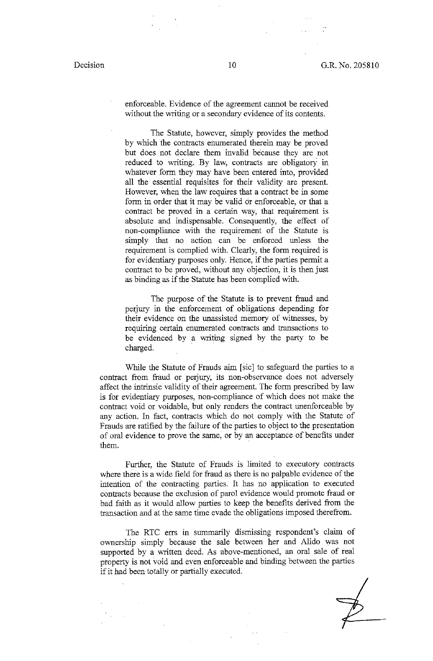enforceable. Evidence of the agreement cannot be received without the writing or a secondary evidence of its contents.

The Statute, however, simply provides the method by which the contracts enumerated therein may be proved but does not declare them invalid because they are not reduced to writing. By law, contracts are obligatory in whatever form they may have been entered into, provided all the essential requisites for their validity are present. However, when the law requires that a contract be in some form in order that it may be valid or enforceable, or that a contract be proved in a certain way, that requirement is absolute and indispensable. Consequently, the effect of non-compliance with the requirement of the Statute is simply that no action can be enforced unless the requirement is complied with. Clearly, the form required is for evidentiary purposes only. Hence, if the parties permit a contract to be proved, without any objection, it is then just as binding as if the Statute has been complied with.

The purpose of the Statute is to prevent fraud and perjury in 1he enforcement of obligations depending for their evidence on the unassisted memory of witnesses, by requiring certain enumerated contracts and transactions to be evidenced by a writing signed by the party to be charged.

While the Statute of Frauds aim [sic] to safeguard the parties to a contract from fraud or perjury, its non-observance does not adversely affect the intrinsic validity of their agreement. The form prescribed by law is for evidentiary purposes, non-compliance of which does not make the contract void or voidable, but only renders the contract unenforceable by any action. In fact, contracts which do not comply with the Statute of Frauds are ratified by the failure of the parties to object to the presentation of oral evidence to prove the same, or by an acceptance of benefits under them.

Further, the Statute of Frauds is limited to executory contracts where there is a wide field for fraud as there is no palpable evidence of the intention of the contracting parties. It has no application to executed contracts because the exclusion of parol evidence would promote fraud or bad faith as it would allow parties to keep the benefits derived from the transaction and at the same time evade the obligations imposed therefrom.

The RTC errs in summarily dismissing respondent's claim of ownership simply because the sale between her and Alido was not supported by a written deed. As above-mentioned, an oral sale of real property is not void and even enforceable and binding between the parties if it had been totally or partially executed.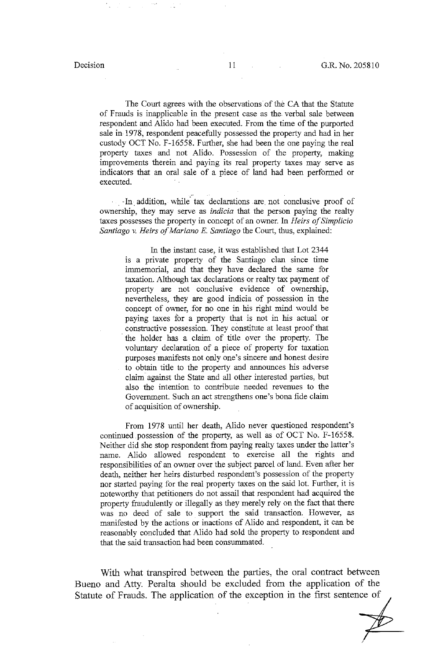The Court agrees with the observations of the CA that the Statute of Frauds is inapplicable in the present case as the verbal sale between respondent and Alido had been executed. From the time of the purported sale in 1978, respondent peacefully possessed the property and had in her custody OCT No. F-16558. Further, she had been the one paying the real property taxes and not Alido. Possession of the property, making improvements therein and paying its real property taxes may serve as indicators that an oral sale of a piece of land had been performed or executed.

··In. addition, while· tax declarations are. not conclusive proof of ownership, they may serve as *indicia* that the person paying the realty taxes possesses the property in concept of an owner. In *Heirs of Simplicio Santiago v. Heirs of Mariano E. Santiago* the Court, thus, explained:

In the instant case, it was established that Lot 2344 is a private property of the Santiago clan since time immemorial, and that they have declared the same for taxation. Although tax declarations or realty tax payment of property are not conclusive evidence of ownership, nevertheless, they are good indicia of possession in the concept of owner, for no one in his right mind would be paying taxes for a property that is not in his actual or constructive possession. They constitute at least proof that · the holder has a claim of title over the property. The voluntary declaration of a piece of property for taxation purposes manifests not only one's sincere and honest desire to obtain title to the property and announces his adverse claim. against the State and all other interested parties, but also the intention to contribute needed revenues to the Government. Such an act strengthens one's bona fide claim of acquisition of ownership.

From 1978 until her death, Alido never questioned respondent's continued .possession of the property, as well as of OCT No. F-16558. Neither did she stop respondent from paying realty taxes under the latter's name. Alido allowed respondent to exercise all the rights and responsibilities of an owner over the subject parcel of land. Even after her death, neither her heirs disturbed respondent's possession of the property nor started paying for the real property taxes on the said lot. Further, it is noteworthy that petitioners do not assail that respondent had acquired the property fraudulently or illegally as they merely rely on the fact that there was no deed of sale to support the said transaction. However, as manifested by the actions or inactions of Alido and respondent, it can be reasonably concluded that Alido had sold the property to respondent and that the said transaction had been consunrmated.

With what transpired between the parties, the oral contract between Bueno and Atty. Peralta should be excluded from the application of the Statute of Frauds. The application of the exception in the first sentence of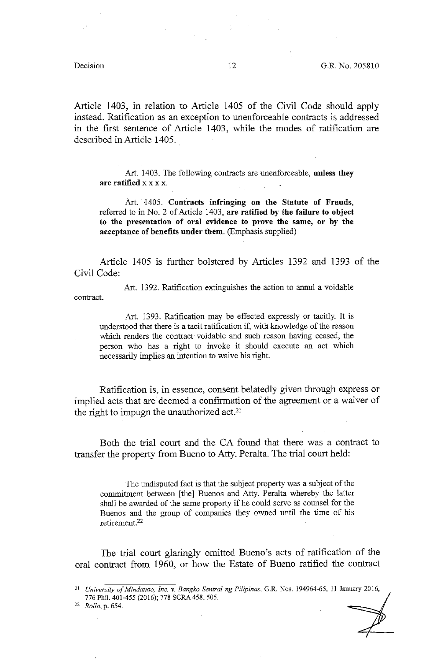Article 1403, in relation to Article 1405 of the Civil Code should apply instead. Ratification as an exception to unenforceable contracts is addressed in the first sentence of Article 1403, while the modes of ratification are described in Article 1405.

Art. 1403. The following contracts are unenforceable, **unless they are ratified** x x x x.

Art. 1405. Contracts infringing on the Statute of Frauds, referred to in No. 2 of Article 1403, **are ratified by the failure to object to the presentation of oral evidence to prove the same, or by the acceptance of benefits under them.** (Emphasis supplied)

Article 1405 is further bolstered by Articles 1392 and 1393 of the Civil Code:

Art. 1392. Ratification extinguishes the action to annul a voidable contract.

Art. 1393. Ratification may be effected expressly or tacitly. It is understood that there is a tacit ratification if, with-knowledge of the reason which renders the contract voidable and such reason having ceased, the person who has a right to invoke it should execute an act which necessarily implies an intention to waive his right.

Ratification is, in essence, consent belatedly given through express or implied acts that are deemed a confirmation of the agreement or a waiver of the right to impugn the unauthorized act.21

Both the trial court and the CA found that there was a contract to transfer the property from Bueno to Atty. Peralta. The trial court held:

The undisputed fact is that the subject property was a subject of the commitment between [the] Buenos and Atty. Peralta whereby the latter shall be awarded of the same property if he could serve as counsel for the Buenos and the group of companies they owned until the time of his retirement. 22

The trial court glaringly omitted Bueno's acts of ratification of the oral contract from 1960, or how the Estate of Bueno ratified the contract

22 *Rollo,* p. 654.

<sup>21</sup>*University of Mindanao, Inc.* v. *Bangko Sentral ng Pilipinas,* G.R. Nos. 194964-65, 11 January 2016, 776 Phii. 401-455 (2016); 778 SCRA458, 505.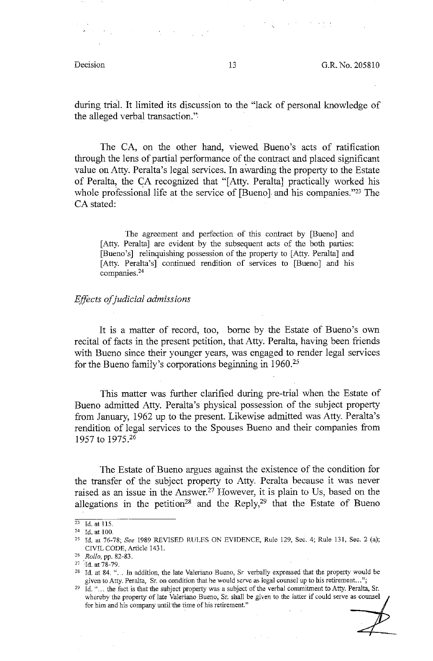during trial. It limited its discussion to the "lack of personal knowledge of the alleged verbal transaction."•

The CA, on the other hand, viewed Bueno's acts of ratification through the lens of partial performance of the contract and placed significant value on Atty. Peralta's legal services. In awarding the property to the Estate of Peralta, the CA recognized that "[Atty. Peralta] practically worked his whole professional life at the service of [Bueno] and his companies."23 The CA stated:

The agreement and perfection of this contract by [Bueno] and [Atty. Peralta] are evident by the subsequent acts of the both parties: [Bueno's] relinquishing possession of the property to [Atty. Peralta] and [Atty. Peralta's] continued rendition of services to [Bueno] and bis companies.24

### *Effects of judicial admissions*

It is a matter of record, too, borne by the Estate of Bueno's own recital of facts in the present petition, that Atty. Peralta, having been friends with Bueno since their younger years, was engaged to render legal services for the Bueno family's corporations beginning in 1960.25

This matter was further clarified during pre-trial when the Estate of Bueno admitted Atty. Peraita's physical possession of the subject property from January, 1962 up to the present. Likewise admitted was Atty. Peralta's rendition of legal services to the Spouses Bueno and their companies from 1957 to 1975.26

The .Estate of Bueno argues against the existence of the condition for the transfer of the subject property to Atty. Peralta because it was never raised as an issue in the Answer.<sup>27</sup> However, it is plain to Us, based on the allegations in the petition<sup>28</sup> and the Reply,<sup>29</sup> that the Estate of Bueno

<sup>23</sup> **Id. at 115.** 

<sup>24</sup> Id. at 100.

<sup>25</sup>Id. at 76-78; *See* 1989 REVISED RULES ON EVIDENCE, Rule 129, Sec. 4; Rule 131, Sec. 2 (a); CIVIL CODE, Article 1431.

<sup>26</sup> *Rolla,* pp. 82-83.

 $27$  Id. at  $78-79$ .

<sup>&</sup>lt;sup>28</sup> Id. at 84. "... In addition, the late Valeriano Bueno, Sr. verbally expressed that the property would be given to Atty. Peralta. Sr. on condition that he would serve as legal counsel up to his retirement...";

<sup>&</sup>lt;sup>29</sup> Id. "... the fact is that the subject property was a subject of the verbal commitment to Atty. Peralta, Sr. Id. "... the fact is that the subject property was<br>whereby the property of late Valeriano Bueno, for him and his company until the time of his retirement." **S-. ,oru, 00** ,;,~ **m ,re** ,,\_ **ff m•"** •~ & **2**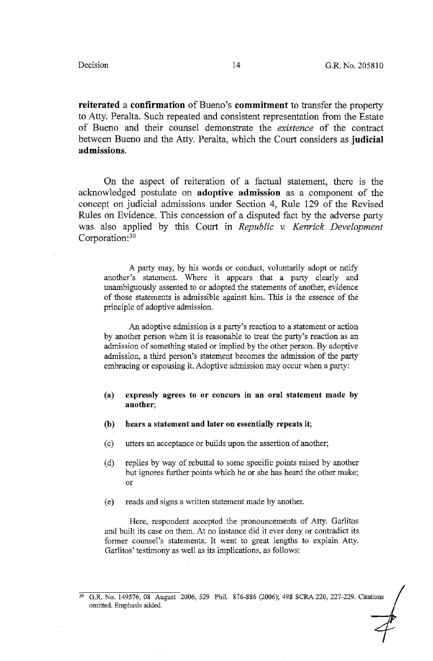**reiterated a confirmation** of Bueno's **commitment** to transfer the property to Atty. Peralta. Such repeated and consistent representation from the Estate of Bueno and their counsel demonstrate the *existence* of the contract between Bueno and the Atty. Peralta, which the Court considers as **judicial admissions.** 

On the aspect of reiteration of a factual statement, there is the acknowledged postulate on **adoptive admission** as a component of the concept on judicial admissions under Section 4, Rule 129 of the Revised Rules on Evidence. This concession of a disputed fact by the adverse party was also applied by this Court in *Republic v. Kenrick Development*  Corporation:30

A party may, by his words or conduct, voluntarily adopt or ratify another's statement. Where it appears that a party clearly and unambiguously assented to or adopted the statements of another, evidence of those statements is admissible against him. This is the essence of the principle of adoptive admission.

An adoptive admission is a party's reaction to a statement or action by another person when it is reasonable to treat the party's reaction as an admission of something stated or implied by the other person. By adoptive admission, a third person's statement becomes the admission of the party embracing or espousing it. Adoptive admission may occur when a party:

### **(a) expressly agrees to or concurs in an oral statement made by another;**

- **(b) hears a statement and later on essentially repeats it;**
- ( c) utters an acceptance or builds upon the assertion of another;
- ( d) replies by way of rebuttal to some specific points raised by another but ignores further points which he or she has heard the other make; or
- ( e) reads and signs a written statement made by another.

Here, respondent accepted the pronouncements of Atty. Garlitos and built its case on them. At no instance did it ever deny or contradict its former counsel's statements. It went to great lengths to explain Atty. Garlitos' testimony as well as its implications, as follows:

<sup>30</sup> G.R. No. 149576, 08 August 2006, 529 Phil. 876-886 (2006); 498 SCRA 220, 227-229. Citations omitted. Emphasis added.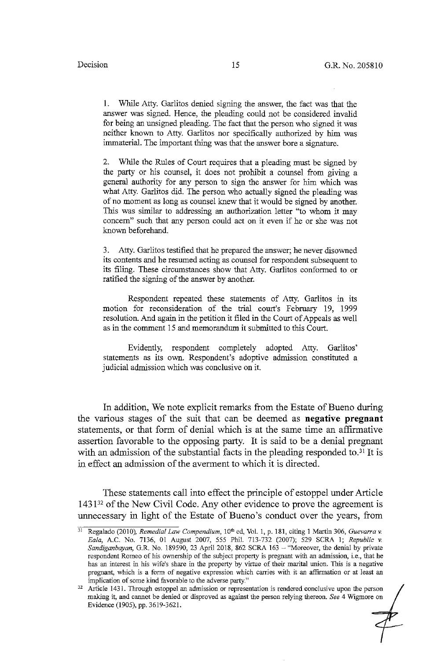1. While Atty. Garlitos denied signing the answer, the fact was that the answer was signed. Hence, the pleading could not be considered invalid for being an unsigned pleading. The fact that the person who signed it was neither known to Atty. Garlitos nor specifically authorized by him was immaterial. The important thing was that the answer bore a signature.

2. While the Rules of Court requires that a pleading must be signed by the party or his counsel, it does not prohibit a counsel from giving a general authority for any person to sign the answer for him which was what Atty. Garlitos did. The person who actually signed the pleading was of no moment as long as counsel knew that it would be signed by another. This was similar to addressing an authorization letter "to whom it may concern" such that any person could act on it even if he or she was not known beforehand.

3. Atty. Garlitos testified that he prepared the answer; he never disowned its contents and he resumed acting as counsel for respondent subsequent to its filing. These circumstances show that Atty. Garlitos conformed to or ratified the signing of the answer by another.

Respondent repeated these statements of Atty. Garlitos in its motion for reconsideration of the trial court's February 19, 1999 resolution. And again in the petition it filed in the Court of Appeals as well as in the comment 15 and memorandum it submitted to this Court.

Evidently, respondent completely adopted Atty. Garlitos' statements as its own. Respondent's adoptive admission constituted a judicial admission which was conclusive on it.

In addition, We note explicit remarks from the Estate of Bueno during the various stages of the suit that can be deemed as **negative pregnant**  statements, or that form of denial which is at the same time an affirmative assertion favorable to the opposing party. It is said to be a denial pregnant with an admission of the substantial facts in the pleading responded to.<sup>31</sup> It is in effect an admission of the averment to which it is directed.

These statements call into effect the principle of estoppel under Article  $1431^{32}$  of the New Civil Code. Any other evidence to prove the agreement is unnecessary in light of the Estate of Bueno's conduct over the years, from

<sup>&</sup>lt;sup>31</sup> Regalado (2010), *Remedial Law Compendium*, 10<sup>th</sup> ed, Vol. 1, p. 181, citing 1 Martin 306, *Guevarra v. Ea/a,* A.C. No. 7136, 01 August 2007, 555 Phil. 713-732 (2007); 529 SCRA I; *Republic v. Sandiganbayan,* G.R. No. 189590, 23 April 2018, 862 SCRA 163 - "Moreover, the denial by private respondent Romeo of his ownership of the subject property is pregnant with an admission, i.e., that he has an interest in his wife's share in the property by virtue of their marital union. This is a negative pregnant, which is a form of negative expression which carries with it an affirmation or at least an implication of some kind favorable to the adverse party."<br><sup>32</sup> Article 1431. Through estoppel an admission or representation is rendered conclusive upon the person

making it, and cannot be denied or disproved as against the person relying thereon. *See* 4 Wigmore on Evidence (1905), pp. 3619-3621.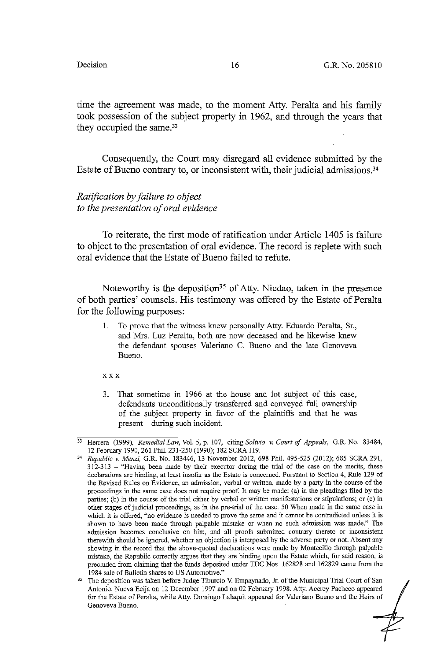time the agreement was made, to the moment Atty. Peralta and his family took possession of the subject property in 1962, and through the years that they occupied the same.<sup>33</sup>

Consequently, the Court may disregard all evidence submitted by the Estate of Bueno contrary to, or inconsistent with, their judicial admissions.<sup>34</sup>

## *Ratification by failure to object to the presentation of oral evidence*

To reiterate, the first mode of ratification under Article 1405 is failure to object to the presentation of oral evidence. The record is replete with such oral evidence that the Estate of Bueno failed to refute.

Noteworthy is the deposition<sup>35</sup> of Atty. Nicdao, taken in the presence of both parties' counsels. His testimony was offered by the Estate of Peralta for the following purposes:

1. To prove that the witness knew personally Atty. Eduardo Peralta, Sr., and Mrs. Luz Peralta, both are now deceased and he likewise knew the defendant spouses Valeriano C. Bueno and the late Genoveva Bueno.

XXX

3. That sometime in 1966 at the house and lot subject of this case, defendants unconditionally transferred and conveyed full ownership of the subject property in favor of the plaintiffs and that he was present during such incident.

<sup>33</sup> Herrera (1999), *Remedial Law,* Vol. 5, p. 107, citing *So/tvio v. Court of Appeals,* G.R. No. 83484, 12 February 1990, 261 Phil. 231-250 (1990); 182 SCRA 119.

<sup>34</sup>*Republic v. Menzi,* G.R. No. 183446, 13 November 2012, 698 Phil. 495-525 (2012); 685 SCRA 291, 312-313 - "Having been made by their executor during the trial of the case on the merits, these declarations are binding, at least insofar as the Estate is concerned. Pursuant to Section 4, Rule 129 of the Revised Rules on Evidence, an admission, verbal or written, made by a party in the course of the **proceedings in the same case does not require proof. It may be made: (a) in the pleadings filed by the**  parties; (b) in the course of the trial either by verbal or written manifestations or stipulations; or (c) in **other stages of judicial proceedings, as in the pre-trial of the case. 50 When made in the same case in**  which it is offered, "no evidence is needed to prove the same and it cannot be contradicted unless it is shown to have been made through palpable mistake or when no such admission was made." The **admission becomes conclusive on him, and all proofs submitted contrary thereto or inconsistent**  therewith should be ignored, whether an objection is interposed by the adverse party or not. Absent any showing in the record that the above-quoted declarations were made by Montecillo through palpable mistake, the Repubiic correctly argues that they are binding upon the Estate which, for said reason, is precluded from claiming that the funds deposited under TDC Nos. 162828 and 162829 came from the

<sup>1984</sup> sale of Bulletin shares to US Automotive."<br><sup>35</sup> The deposition was taken before Judge Tiburcio V. Empaynado, Jr. of the Municipal Trial Court of San Antonio, Nueva Ecija on 12 December 1997 and on 02 February 1998. Atty. Acerey Pacheco appeared for the Estate of Peralta, while Atty. Domingo Lalaquit appeared for Valeriano Bueno and the Heirs of **Genoveva Bueno.**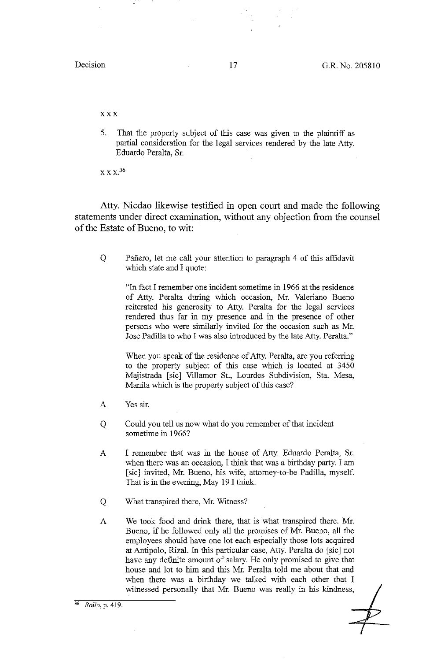XXX

5. That the property subject of this case was given to the plaintiff as partial consideration for the legal services rendered by the late Atty. Eduardo Peralta, Sr.

 $X X X<sup>36</sup>$ 

Atty. Nicdao likewise testified in open court and made the following statements under direct examination, without any objection from the counsel of the Estate of Bueno, to wit:

Q Pañero, let me call your attention to paragraph 4 of this affidavit which state and I quote:

"In fact I remember one incident sometime in 1966 at the residence of Atty. Peralta during which occasion, Mr. Valeriano Bueno reiterated his generosity to Atty. Peralta for the legal services rendered thus far in my presence and in the presence of other persons who were similarly invited for the occasion such as Mr. Jose Padilla to who I was also introduced by the late Atty. Peralta."

When you speak of the residence of Atty. Peralta, are you referring to the property subject of this case which is located at 3450 Majistrada [sic] Villamor St., Lourdes Subdivision, Sta. Mesa, Manila which is the property subject of this case?

- A Yes sir.
- Q Could you tell us now what do you remember of that incident sometime in 1966?
- A I remember that was in the house of Atty. Eduardo Peralta, Sr. when there was an occasion, I think that was a birthday party. I am [sic] invited, Mr. Bueno, his wife, attorney-to-be Padilla, myself. That is in the evening, May 19 I think.
- Q What transpired there, Mr. Witness?
- A We took food and drink there, that is what transpired there. Mr. Bueno, if he followed only all the prowises of Mr. Bueno, all the employees should have one lot each especially those lots acquired at Antipolo, Rizal. In this particular case, Atty. Peralta do [sic] not have any definite amount of salary. He only promised to give that house and lot to him and this Mr. Peralta told me about that and when there was a birthday we talked with each other that I witnessed personally that Mr. Bueno was really in his kindness,

<sup>36</sup>*Rollo,* **p. 419.**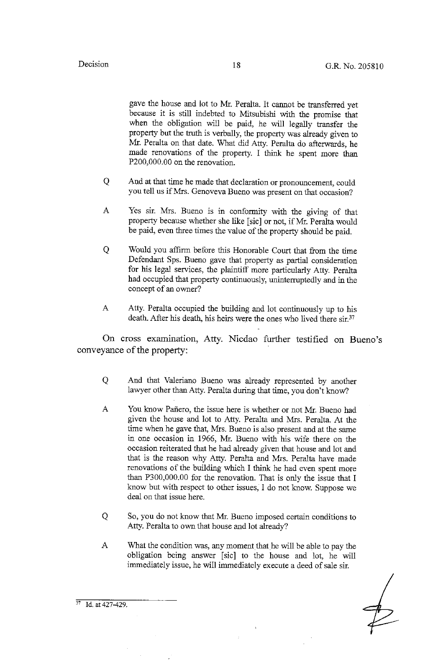gave the house and lot to Mr. Peralta. It cannot be transferred yet because it is still indebted to Mitsubishi with the promise that when the obligation will be paid, he will legally transfer the property but the truth is verbally, the property was already given to Mr. Peralta on that date. What did Atty. Peralta do afterwards, he made renovations of the property. I think he spent more than P200,000.00 on the renovation.

- Q And at that time he made that declaration or pronouncement, could you tell us if Mrs. Genoveva Bueno was present on that occasion?
- A Yes sir. Mrs. Bueno is in conformity with the giving of that property because whether she like [sic] or not, if Mr. Peralta would be paid, even three times the value of the property should be paid.
- Q Would you affirm before this Honorable Court that from the time Defendant Sps. Bueno gave that property as partial consideration for his legal services, the plaintiff more particularly Atty. Peralta had occupied that property continuously, uninterruptedly and in the concept of an owner?
- A Atty. Peralta occupied the building and lot continuously up to his death. After his death, his heirs were the ones who lived there sir.<sup>37</sup>

On cross examination, Atty. Nicdao further testified on Bueno's conveyance of the property:

- Q And that Valeriano Bueno was already represented by another lawyer other than Atty. Peralta during that time, you don't know?
- A You know Pafiero, the issue here is whether or not Mr. Bueno had given the house and lot to Atty. Peralta and Mrs. Peralta. At the time when he gave that, Mrs. Bueno is also present and at the same in one occasion in 1966, Mr. Bueno with his wife there on the occasion reiterated that he had already given that house and lot and that is the reason why Atty. Peralta and Mrs. Peralta have made renovations of the building which I think he had even spent more than P300,000.00 for the renovation. That is only the issue that I know but with respect to other issues, I do not know. Suppose we deal on that issue here.
- Q So, you do not know that Mr. Bueno imposed certain conditions to Atty. Peralta to own that house and lot already?
- A What the condition was, any moment that he will be able to pay the obligation being answer [sic] to the house and lot, he will immediately issue, he will immediately execute a deed of sale sir.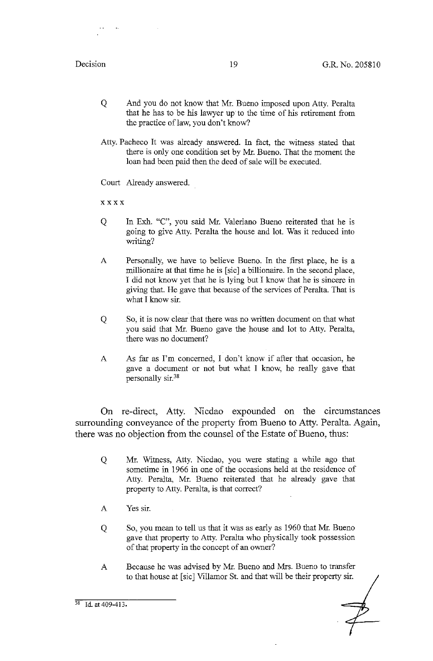- Q And you do not know that Mr. Bueno imposed upon Atty. Peralta that he has to be his lawyer up to the time of his retirement from the practice of law, you don't know?
- Atty. Pacheco It was already answered. In fact, the witness stated that there is only one condition set by Mr. Bueno. That the moment the loan had been paid then the deed of sale will be executed.

Court Already answered.

xxxx

- Q In Exh. "C", you said Mr. Valeriano Bueno reiterated that he is going to give Atty. Peralta the house and lot. Was it reduced into writing?
- A Personally, we have to believe Bueno. In the first place, he is a millionaire at that time he is [sic] a billionaire. In the second place, I did not know yet that he is lying but I know that he is sincere in giving that. He gave that because of the services of Peralta. That is what I know sir.
- Q So, it is now clear that there was no written document on that what you said that Mr. Bueno gave the house and lot to Atty. Peralta, there was no document?
- A As far as I'm concerned, I don't know if after that occasion, he gave a document or not but what I know, he really gave that personally sir.38

On re-direct, Atty. Nicdao expounded on the circumstances surrounding conveyance of the property from Bueno to Atty. Peralta. Again, there was no objection from the counsel of the Estate of Bueno, thus:

- Q Mr. Witness, Atty. Nicdao, you were stating a while ago that sometime in 1966 in one of the occasions held at the residence of Atty. Peralta, Mr. Bueno reiterated that he already gave that property to Atty. Peralta, is that correct?
- A Yes sir.
- Q So, you mean to tell us that it was as early as 1960 that Mr. Bueno gave that property to Atty. Peralta who physically took possession of that property in the concept of an owner?
- A Because he was advised by Mr. Bueno and Mrs. Bueno to transfer to that house at [sic] Villamor St. and that will be their property sir.

 $38$  Id. at 409-413.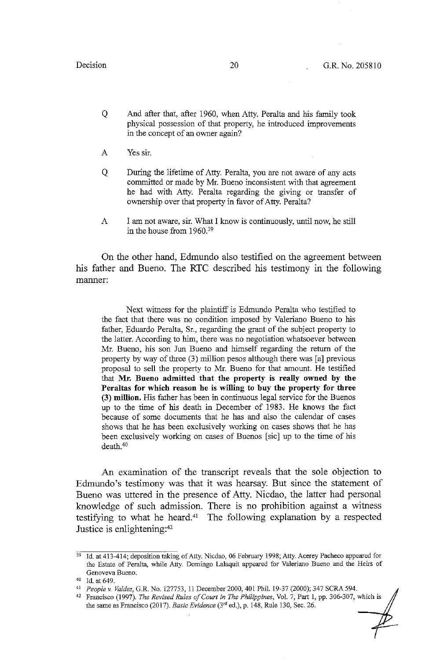- Q And after that, after 1960, when Atty. Peralta and his family took physical possession of that property, he introduced improvements in the concept of an owner again?
- A Yes sir.
- Q During the lifetime of Atty. Peralta, you are not aware of any acts committed or made by Mr. Bueno inconsistent with that agreement he had with Atty. Peralta regarding the giving or transfer of ownership over that property in favor of Atty. Peralta?
- A I am not aware, sir. What I know is continuously, until now, he still in the house from 1960.39

On the other hand, Edmundo also testified on the agreement between his father and Bueno. The RTC described his testimony in the following manner:

Next witness for the plaintiff is Edmundo Peralta who testified to the fact that there was no condition imposed by Valeriano Bueno to his father, Eduardo Peralta, Sr., regarding the grant of the subject property to the latter. According to him, there was no negotiation whatsoever between Mr. Bueno, his son Jun Bueno and himself regarding the return of the property by way of three (3) million pesos although there was [a] previous proposal to sell the property to Mr. Bueno for that amount. He testified that **Mr. Bueno admitted that the property is really owned by the Peraltas for which reason he is willing to buy the property for three (3) million.** His father has been in continuous legal service for the Buenos up to the time of his death in December of 1983. He knows the fact because of some documents that he has and also the calendar of cases shows that he has been exclusively working on cases shows that he has been exclusively working on cases of Buenos [sic] up to the time of his death.40

An examination of the transcript reveals that the sole objection to Edmundo's testimony was that it was hearsay. But since the statement of Bueno was uttered in the presence of Atty. Nicdao, the latter had personal knowledge of such admission. There is no prohibition against a witness testifying to what he heard. $41$  The following explanation by a respected Justice is enlightening:<sup>42</sup>

<sup>&</sup>lt;sup>39</sup> Id. at 413-414; deposition taking of Atty. Nicdao, 06 February 1998; Atty. Acerey Pacheco appeared for the Estate of Peralta, while Atty. Domingo Lalaquit appeared for Valeriano Bueno and the Heirs of Genoveva Bueno.<br><sup>40</sup> Id. at 649.

<sup>40</sup> Id. at 649. 41 *People" Valdez,* G.R. No. 127753, Ii December 2000, 401 Phil. 19-37 (2000); 347 SCRA 594.

<sup>42</sup> Francisco (1997). *The Revised Rules of Court in The Philippines,* Vol. 7, Part I, pp. 306-307, which is the same as Francisco (2017). *Basic Evidence* (3<sup>rd</sup> ed.), p. 148, Rule 130, Sec. 26.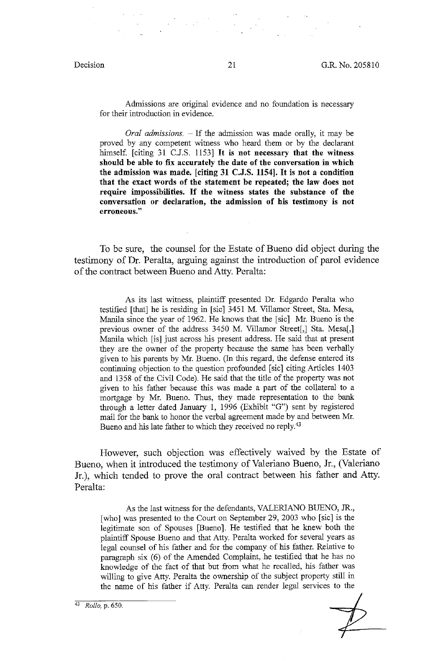Admissions are original evidence and no foundation is necessary for their introduction in evidence.

*Oral admissions.* ~ If the admission was made orally, it may be proved by any competent witness who heard them or by the declarant himself. [citing 31 C.J.S. 1153] It **is not necessary that the witness should be able to fix accurately the date of the conversation** in **which the admission was made. [citing 31 C.J.S. 1154].** It **is not a condition that the exact words of the statement be repeated; the law does not require impossibilities.** If **the witness states the substance of the conversation or declaration, the admission of his testimony is not erroneous."** 

To be sure, the counsel for the Estate of Bueno did object during the testimony of Dr. Peralta, arguing against the introduction of parol evidence of the contract between Bueno and Atty. Peralta:

As its last witness, plaintiff presented Dr. Edgardo Peralta who testified [that] he is residing in [sic] 3451 M. Villamor Street, Sta. Mesa, Manila since the year of 1962. He knows that the [sic] Mr. Bueno is the previous owner of the address 3450 M. Villamor Street[,] Sta. Mesa[,] Manila which [is] just across his present address. He said that at present they are the owner of the property because the same has been verbally given to his parents by Mr. Bueno. (In this regard, the defense entered its continuing objection to the question profounded [sic] citing Articles 1403 and 1358 of the Civil Code). He said that the title of the property was not given to his father because this was made a part of the collateral to a mortgage by Mr. Bueno. Thus, they made representation to the bank through a letter dated January 1, 1996 (Exhibit "G") sent by registered mail for the bank to honor the verbal agreement made by and between Mr. Bueno and his late father to which they received no reply.<sup>43</sup>

However, such objection was effectively waived by the Estate of Bueno, when it introduced the testimony of Valeriano Bueno, Jr., (Valeriano Jr.), which tended to prove the oral contract between his father and Atty. Peralta:

As the last witness for the defendants, VALERJANO BUENO, JR., [who] was presented to the Court on September 29, 2003 who [sic] is the legitimate son of Spouses [Bueno]. He testified that he knew both the plaintiff Spouse Bueno and that Atty. Peralta worked for several years as legal counsel of his father and for the company of his father. Relative to paragraph six  $(6)$  of the Amended Complaint, he testified that he has no knowledge of the fact of that but from what he recalled, his father was willing to give Atty. Peralta the ownership of the subject property still in the name of his father if Atty. Peralta can render legal services to the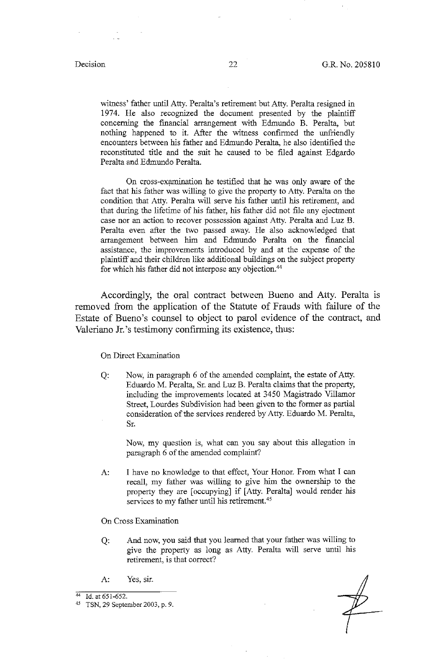witness' father until Atty. Peralta's retirement but Atty. Peralta resigned in 1974. He also recognized the document presented by the plaintiff concerning the financial arrangement with Edmundo B. Peralta, but nothing happened to it. After the witness confirmed the unfriendly encounters between his father and Edmundo Peralta, he also identified the reconstituted title and the suit he caused to be filed against Edgardo Peralta and Edmundo Peralta.

On cross-examination he testified that he was only aware of the fact that his father was willing to give the property to Atty. Peralta on the condition that Atty. Peralta will serve his father until his retirement, and that during the lifetime of his father, his father did not file any ejectment case nor an action to recover possession against Atty. Peralta and Luz B. Peralta even after the two passed away. He also acknowledged that arrangement between him and Edmundo Peralta on the fmancial assistance, the improvements introduced by and at the expense of the plaintiff and their children like additional buildings on the subject property for which his father did not interpose any objection.<sup>44</sup>

Accordingly, the oral contract between Bueno and Atty. Peralta is removed from the application of the Statute of Frauds with failure of the Estate of Bueno's counsel to object to parol evidence of the contract, and Valeriano Jr. 's testimony confirming its existence, thus:

On Direct Examination

Q: Now, in paragraph 6 of the amended complaint, the estate of Atty. Eduardo M. Peralta, Sr. and Luz B. Peralta claims that the property, including the improvements located at 3450 Magistrado Villamor Street, Lourdes Subdivision had been given to the former as partial consideration of the services rendered by Atty. Eduardo M. Peralta, Sr.

Now, my question is, what can you say about this allegation in paragraph 6 of the amended complaint?

- A: I have no knowledge to that effect, Your Honor. From what I can recall, my father was willing to give him the ownership to the property they are [occupying] if [Atty. Peralta] would render his services to my father until his retirement.<sup>45</sup>
- On Cross Examination
- Q: And now, you said that you learned that your father was willing to give the property as long as Atty. Peralta will serve until his retirement, is that correct?
- A: Yes, sir.

<sup>44</sup> Id. at 651-652. 45 TSN, 29 September 2003, p. 9.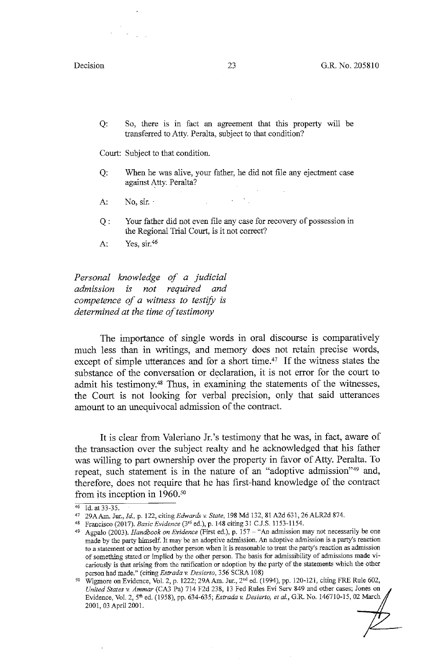Q: So, there is in fact an agreement that this property will be transferred to Atty. Peralta, subject to that condition?

Court: Subject to that condition.

- Q: When he was alive, your father, he did not file any ejectment case against Atty: Peralta?
- A:  $No. sir.$
- Q : Your father did not even file any case for recovery of possession in the Regional Trial Court, is it not correct?
- A: Yes, sir.46

*Personal knowledge of a judicial admission is not required and competence of a witness to testify is determined at the time of testimony* 

The importance of single words in oral discourse is comparatively much less than in writings, and memory does not retain precise words, except of simple utterances and for a short time.<sup>47</sup> If the witness states the substance of the conversation or declaration, it is not error for the court to admit his testimony.48 Thus, in examining the statements of the witnesses, the Court is not looking for verbal precision, only that said utterances amount to an unequivocal admission of the contract.

It is clear from Valeriano Jr. 's testimony that he was, in fact, aware of the transaction over the subject realty and he acknowledged that his father was willing to part ownership over the property in favor of Atty. Peralta. To repeat, such statement is in the nature of an "adoptive admission"<sup>49</sup> and, therefore, does not require that he has first-hand knowledge of the contract from its inception in 1960.50

<sup>&</sup>lt;sup>46</sup> Id. at 33-35. **122, citing** *Edwards v. State*, 198 Md 132, 81 A2d 631, 26 ALR2d 874.

<sup>48</sup> Francisco (2017). *Basic Evidence* (3'0 ed.), p. 148 citing 31 C.J.S. 1153-1154.

<sup>49</sup> Agpalo (2003). *Handbook on Evidence* (First ed.), p. 157 - "An admission may not necessarily be one made by the party himself. It may be an adoptive admission. An adoptive admission is a party's reaction to a statement or action by another person when it is reasonable to treat the party's reaction as admission of something stated or implied by the other person. The basis for admissibility of admissions made vicariously is that arising from the ratification or adoption by the party of the statements which the other

person had made." (citing *Estrada v. Desierto*, 356 SCRA 108)<br><sup>50</sup> Wigmore on Evidence, Vol. 2, p. 1222; 29A Am. Jur., 2<sup>nd</sup> ed. (1994), pp. 120-121, citing FRE Rule 602, *United States v Ammar* (CA3 Pa) 714 F2d 238, 13 Fed Rules Evi Serv 849 and other cases; Jones on Evidence, Vol. 2, 5<sup>th</sup> ed. (1958), pp. 634-635; *Estrada v. Desierto, et al.*, G.R. No. 146710-15, 02 March 2001, 03 April 2001.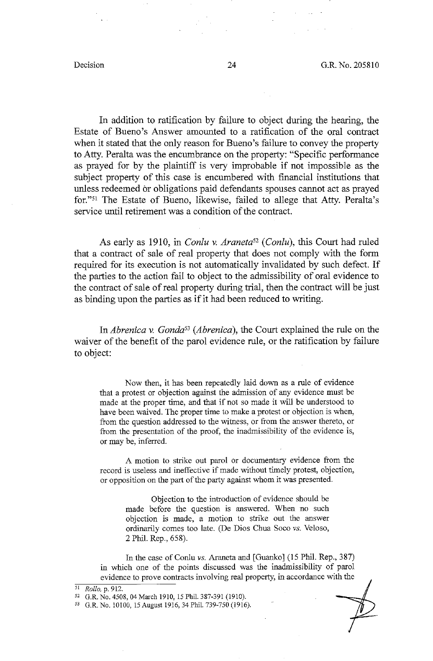In addition to ratification by failure to object during the hearing, the Estate of Bueno's Answer amounted to a ratification of the oral contract when it stated that the only reason for Bueno's failure to convey the property to Atty. Peralta was the encumbrance on the property: "Specific performance as prayed for by the plaintiff is very improbable if not impossible as the subject property of this case is encumbered with financial institutions that unless redeemed or obligations paid defendants spouses cannot act as prayed for."51 The Estate of Bueno, likewise, failed to allege that Atty. Peralta's service until retirement was a condition of the contract.

As early as 1910, in *Conlu v. Araneta52 (Conlu),* this Court had ruled that a contract of sale of real property that does not comply with the form required for its execution is not automatically invalidated by such defect. If the parties to the action fail to object to the admissibility of oral evidence to the contract of sale of real property during trial, then the contract will be just as binding upon the parties as if it had been reduced to writing.

*InAbrenica v. Gonda53 (Abrenica),* the Court explained the rule on the waiver of the benefit of the parol evidence rule, or the ratification by failure to object:

Now then, it has been repeatedly laid down as a rule of evidence that a protest or objection against the admission of any evidence must be made at the proper time, and that if not so made it will be understood to have been waived. The proper time to make a protest or objection is when, from the question addressed to the witness, or from the answer thereto, or from the presentation of the proof, the inadmissibility of the evidence is, or may be, inferred.

A motion to strike out parol or documentary evidence from the record is useless and ineffective if made without timely protest, objection, or opposition on the part of the party against whom it was presented.

> Objection to the introduction of evidence should be made before the question is answered. When no such objection is made, a motion to strike out the answer ordinarily comes too late. (De Dios Chua Soco *vs.* Veloso, 2 Phil. Rep., 658).

In the case of Conlu *vs.* Araneta and [Guanko] (15 Phil. Rep., 387) in which one of the points discussed was the inadmissibility of parol evidence to prove contracts involving real property, in accordance with the

<sup>51</sup> *Rollo,* p. 912.

<sup>52</sup> G.R. No. 4508, 04 March 1910, 15 Phil. 387-391 (1910).

<sup>53</sup> G.R. No. 10100, 15 August 1916, 34 Phil. 739-750 (1916).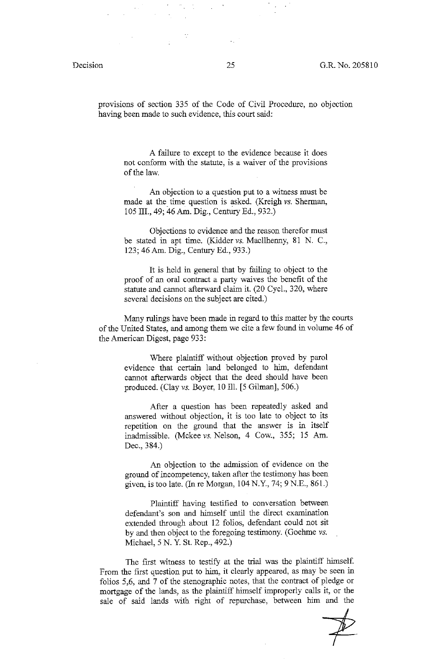provisions of section 335 of the Code of Civil Procedure, no objection having been made to such evidence, this court said:

A failure to except to the evidence because it does not conform with the statute, is a waiver of the provisions of the law.

An objection to a question put to a witness must be made at the time question is asked. (Kreigh *vs.* Sherman, I 05 III., 49; 46 Am. Dig., Century Ed., 932.)

Objections to evidence and the reason therefor must be stated in apt time. (Kidder *vs.* Macllhenny, 81 N. C., 123; 46 Am. Dig., Century Ed., 933.)

It is held in general that by failing to object to the proof of an oral contract a party waives the benefit of the statute and cannot afterward claim it. (20 Cycl., 320, where several decisions on the subject are cited.)

Many rulings have been made in regard to this matter by the courts of the United States, and among them we cite a few found in volume 46 of the American Digest, page 933:

> Where plaintiff without objection proved by parol evidence that certain land belonged to him, defendant cannot afterwards object that the deed should have been produced. (Clay *vs.* Boyer, 10 Ill. [5 Gilman], 506.)

> After a question has been repeatedly asked and answered without objection, it is too late to object to its repetition on the ground that the answer is in itself inadmissible. (Mckee *vs.* Nelson, 4 Cow., 355; 15 Am. Dec., 384.)

> An objection to the admission of evidence on the ground of incompetency, taken after the testimony has been given, is too late. (In re Morgan, 104 N.Y., 74; 9 N.E., 861.)

> Plaintiff having testified to conversation between defendant's son and himself until the direct examination extended through about 12 folios, defendant could not sit by and then object to the foregoing testimony. (Goehme *vs.*  Michael, 5 N. Y. St. Rep., 492.)

The first witness to testify at the trial was the plaintiff himself. From the first question put to him, it clearly appeared, as may be seen in folios 5,6, and 7 of the stenographic notes, that the contract of pledge or mortgage of the lands, as the plaintiff himself improperly calls it, or the sale of said lands with right of repurchase, between him and the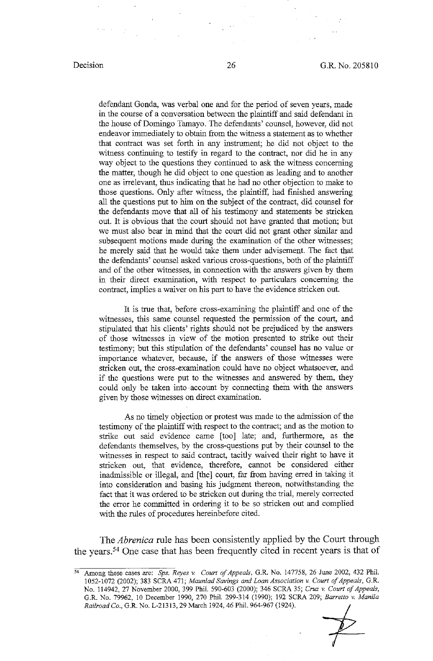defendant Gonda, was verbal one and for the period of seven years, made in the course of a conversation between the plaintiff and said defendant in the house of Domingo Tamayo. The defendants' counsel, however, did not endeavor immediately to obtain from the witness a statement as to whether that contract was set forth in any instrument; he did not object to the witness continuing to testify in regard to the contract, nor did he in any way object to the questions they continued to ask the witness concerning the matter, though he did object to one question as leading and to another one as irrelevant, thus indicating that he had no other objection to make to those questions. Only after witness, the plaintiff, had finished answering all the questions put to him on the subject of the contract, did counsel for the defendants move that all of his testimony and statements be stricken out. It is obvious that the court should not have granted that motion; but we must also bear in mind that the court did not grant other similar and subsequent motions made during the examination of the other witnesses; he merely said that he would take them under advisement. The fact that the defendants' counsel asked various cross-questions, both of the plaintiff and of the other witnesses, in connection with the answers given by them in their direct examination, with respect to particulars concerning the contract, implies a waiver on his part to have the evidence stricken out.

It is true that, before cross-examining the plaintiff and one of the witnesses, this same counsel requested the permission of the court, and stipulated that his clients' rights should not be prejudiced by the answers of those witnesses in view of the motion presented to strike out their testimony; but this stipulation of the defendants' counsel has no value or importance whatever, because, if the answers of those witnesses were stricken out, the cross-examination could have no object whatsoever, and if the questions were put to the witnesses and answered by them, they could only be taken into account by connecting them with the answers given by those witnesses on direct examination.

As no timely objection or protest was made to the admission of the testimony of the plaintiff with respect to the contract; and as the motion to strike out said evidence came [too] late; and, furthermore, as the defendants themselves, by the cross-questions put by their counsel to the witnesses in respect to said contract, tacitly waived their right to have it stricken out, that evidence, therefore, cannot be considered either inadmissible or illegal, and [the] court, far from having erred in taking it into consideration and basing his judgment thereon, notwithstanding the fact that it was ordered to be stricken out during the trial, merely corrected the error he committed in ordering it to be so stricken out and complied with the rules of procedures hereinbefore cited.

The *Abrenica* rule has been consistently applied by the Court through the years.54 One case that has been frequently cited in recent years is that of

<sup>54</sup>Among these cases are: *Sps. Reyes v. Court of Appeals,* G.R. No. 147758, 26 June 2002, 432 Phil. 1052-1072 (2002); 383 SCRA 471; *Maun/ad Savings and Loan Association v Court of Appeals,* G.R. No. 114942, 27 November 2000, 399 Phil. 590-603 (2000); 346 SCRA 35; *Cruz v. Court of Appeals,*  G.R. No. 79962, JO December 1990, 270 Phil. 299-314 (1990); 192 SCRA 209; *Barretto v Manila Railroad Co.,* G.R. No. L-21313, 29 March 1924, 46 Phil. 964-967 (1924).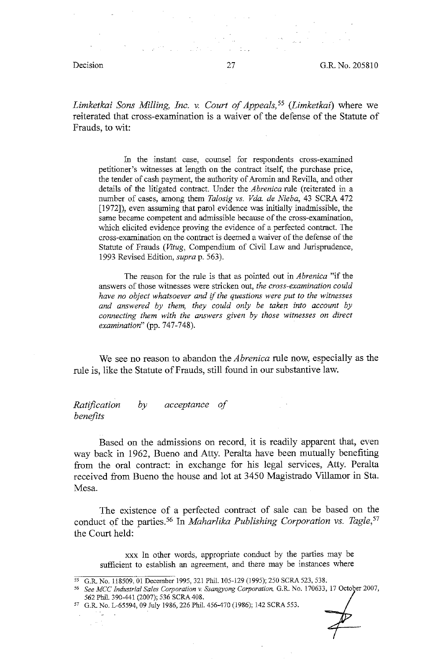*Limketkai Sons Milling, Inc. v. Court of Appeals,*<sup>55</sup> (*Limketkai*) where we reiterated that cross-examination is a waiver of the defense of the Statute of Frauds, to wit:

In the instant case, counsel for respondents cross-examined petitioner's witnesses at length on the contract itself, the purchase price, the tender of cash payment, the authority of Aromin and Revilla, and other details of the litigated contract. Under the *Abrenica* rule (reiterated in a number of cases, among them *Talosig vs. Vda. de Nieba,* 43 SCRA 472  $[1972]$ , even assuming that parol evidence was initially inadmissible, the same became competent and admissible because of the cross-examination, which elicited evidence proving the evidence of a perfected contract. The cross-examination on the contract is deemed a waiver of the defense of the Statute of Frauds *(Vitug,* Compendium of Civil Law and Jurisprudence, 1993 Revised Edition, *supra* p. 563).

The reason for the rule is that as pointed out in *Abrenica* "if the answers of those witnesses were stricken out, *the cross-examination could have no object whatsoever and* if *the questions were put to the witnesses and answered by them, they could only be taken into account by connecting them with the answers given by those witnesses on direct examination*" (pp. 747-748).

We see no reason to abandon the *Abrenica* rule now, especially as the rule is, like the Statute of Frauds, still found in our substantive law.

*Ratification benefits by acceptance of* 

Based on the admissions on record, it is readily apparent that, even way back in 1962, Bueno and Atty. Peralta have been mutually benefiting from the oral contract: in exchange for his legal services, Atty. Peralta received from Bueno the house and lot at 3450 Magistrado Villamar in Sta. Mesa.

The existence of a perfected contract of sale can be based on the conduct of the parties.<sup>56</sup> In *Maharlika Publishing Corporation vs. Tagle*,<sup>57</sup> the Court held:

xxx In other words, appropriate conduct by the parties may be sufficient to establish an agreement, and there may be instances where

Λü  $\frac{1}{2}$ 

<sup>&</sup>lt;sup>55</sup> G.R. No. 118509, 01 December 1995, 321 Phil. 105-129 (1995); 250 SCRA 523, 538.

<sup>56</sup>*See MCC Industrial Sales Corporation* v. *Ssangyong Corporation,* G.R. No. 170633, 17 October 2007, 562 Phil. 390-441 (2007); 536 SCRA 408.

<sup>57</sup> G.R. No. L-65594, 09 July 1986, 226 Phil. 456-470 (1986); 142 SCRA 553.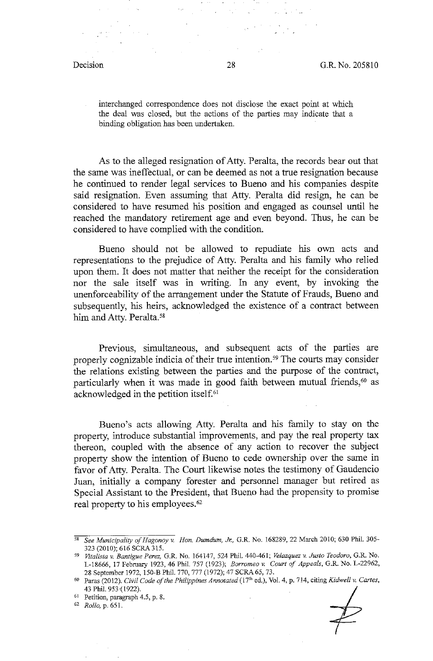interchanged correspondence does not disclose the exact point at which the deal was closed, but the actions of the parties may indicate that a binding obligation has been undertaken.

As to the alleged resignation of Atty. Peralta, the records bear out that the same was ineffectual, or can be deemed as not a true resignation because he continued to render legal services to Bueno and his companies despite said resignation. Even assuming that Atty. Peralta did resign, he can be considered to have resumed his position and engaged as counsel until he reached the mandatory retirement age and even beyond. Thus, he can be considered to have complied with the condition.

Bueno should not be allowed to repudiate his own acts and representations to the prejudice of Atty. Peralta and his family who relied upon them. It does not matter that neither the receipt for the consideration nor the sale itself was in writing. In any event, by invoking the unenforceability of the arrangement under the Statute of Frauds, Bueno and subsequently, his heirs, acknowledged the existence of a contract between him and Atty. Peralta.<sup>58</sup>

Previous, simultaneous, and subsequent acts of the parties are properly cognizable indicia of their true intention. 59 The courts may consider the relations existing between the parties and the purpose of the contract, particularly when it was made in good faith between mutual friends,<sup>60</sup> as acknowledged in the petition itself.61

Bueno's acts allowing Atty. Peralta and his family to stay on the property, introduce substantial improvements, and pay the real property tax thereon, coupled with the absence of any action to recover the subject property show the intention of Bueno to cede ownership over the same in favor of Atty. Peralta. The Court likewise notes the testimony of Gaudencio Juan, initially a company forester and personnel manager but retired as Special Assistant to the President, that Bueno had the propensity to promise real property to his employees.<sup>62</sup>

62 *Rollo,* p. 651.

<sup>58</sup>*See Municipality ofHagonoy v. Hon. Dumdum, Jr.,* G.R. No. 168289, 22 March 2010; 630 Phil. 305- 323 (2010); 616 SCRA 315.

<sup>59</sup>*Vita/is/av. Bantigue Perez,* G.R. No. 164147, 524 Phil. 440-461; *Velazquez v. Justo Teodoro,* G.R. No. L-18666, 17 February 1923, 46 Phil. 757 (1923); *Borromeo v. Court of Appeals*, G.R. No. L-22962,

<sup>28</sup> September 1972, 150-B Phil. 770, 777 (1972); 47 SCRA65, 73. 60 Paras (2012). *Civil Code of the Philippines Annotated* (i 7"' ed.), Vol. 4, p. 714, citing *Kidwell* v. *Carles,*  43 Phil. 953-(1922).

<sup>61</sup> Petition, paragraph 4.5, p. 8.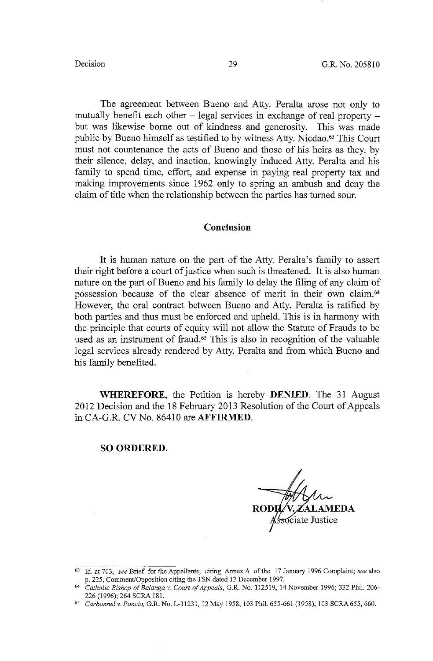The agreement between Bueno and Atty. Peralta arose not only to mutually benefit each other  $-$  legal services in exchange of real property  $$ but was likewise borne out of kindness and generosity. This was made public by Bueno himself as testified to by witness Atty. Nicdao.<sup>63</sup> This Court must not countenance the acts of Bueno and those of his heirs as they, by their silence, delay, and inaction, knowingly induced Atty. Peralta and his family to spend time, effort, and expense in paying real property tax and making improvements since 1962 only to spring an ambush and deny the claim of title when the relationship between the parties has turned sour.

### **Conclusion**

It is human nature on the part of the Atty. Peralta's family to assert their right before a court of justice when such is threatened. It is also human nature on the part of Bueno and his family to delay the filing of any claim of possession because of the clear absence of merit in their own claim.64 However, the oral contract between Bueno and Atty. Peralta is ratified by both parties and thus must be enforced and upheld. This is in harmony with the principle that courts of equity will not allow the Statute of Frauds to be used as an instrument of fraud.<sup>65</sup> This is also in recognition of the valuable legal services already rendered by Atty. Peralta and from which Bueno and his family benefited.

**WHEREFORE,** the Petition is hereby **DENIED.** The 31 August 2012 Decision and the 18 February 2013 Resolution of the Court of Appeals in CA-G.R. CV No. 86410 are **AFFIRMED.** 

### **SO ORDERED.**

iate Justice

<sup>63</sup> Id. at 703, *see* Brief for the Appellants, citing Annex A of the 17 January 1996 Complaint; *see* also p. 225, Comment/Opposition citing the TSN dated 12 December 1997.

<sup>64</sup>*Catholic Bishop ofBalanga v. Court of Appeals,* G.R No. 112519, 14 November 1996; 332 Phil. 206- 226 (1996); 264 SCRA 181.

*<sup>65</sup> Carbonnel v. Poncio,* G.R. No. L-11231, 12 May 1958; 103 Phil. 655-661 (1958); 103 SCRA 655,660.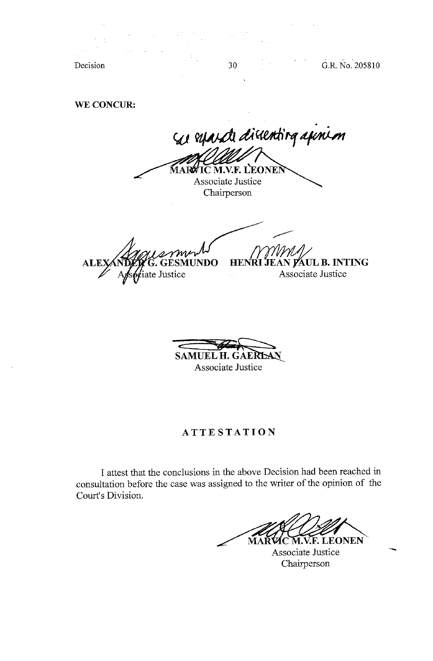Decision

30

G.R. No. 205810

**WE CONCUR:** 

 $\mathcal{A}_\mathrm{c}$ 

se reparate dissenting apinion **TC M.V.F. LEONEN** MARW Associate Justice Chairperson

**ESMUNDO ALE**  $\mathscr{G}$ iate Justice

,,...---- **HENRI JEAN PAUL B. INTING** Associate Justice

**SAMUEL H. GAERLAN** 

Associate Justice

## **ATTESTATION**

I attest that the conclusions in the above Decision had been reached in consultation before the case was assigned to the writer of the opinion of the Court's Division.

**VIC M.V.F. LEONEN** MAŘ

Associate Justice Chairperson